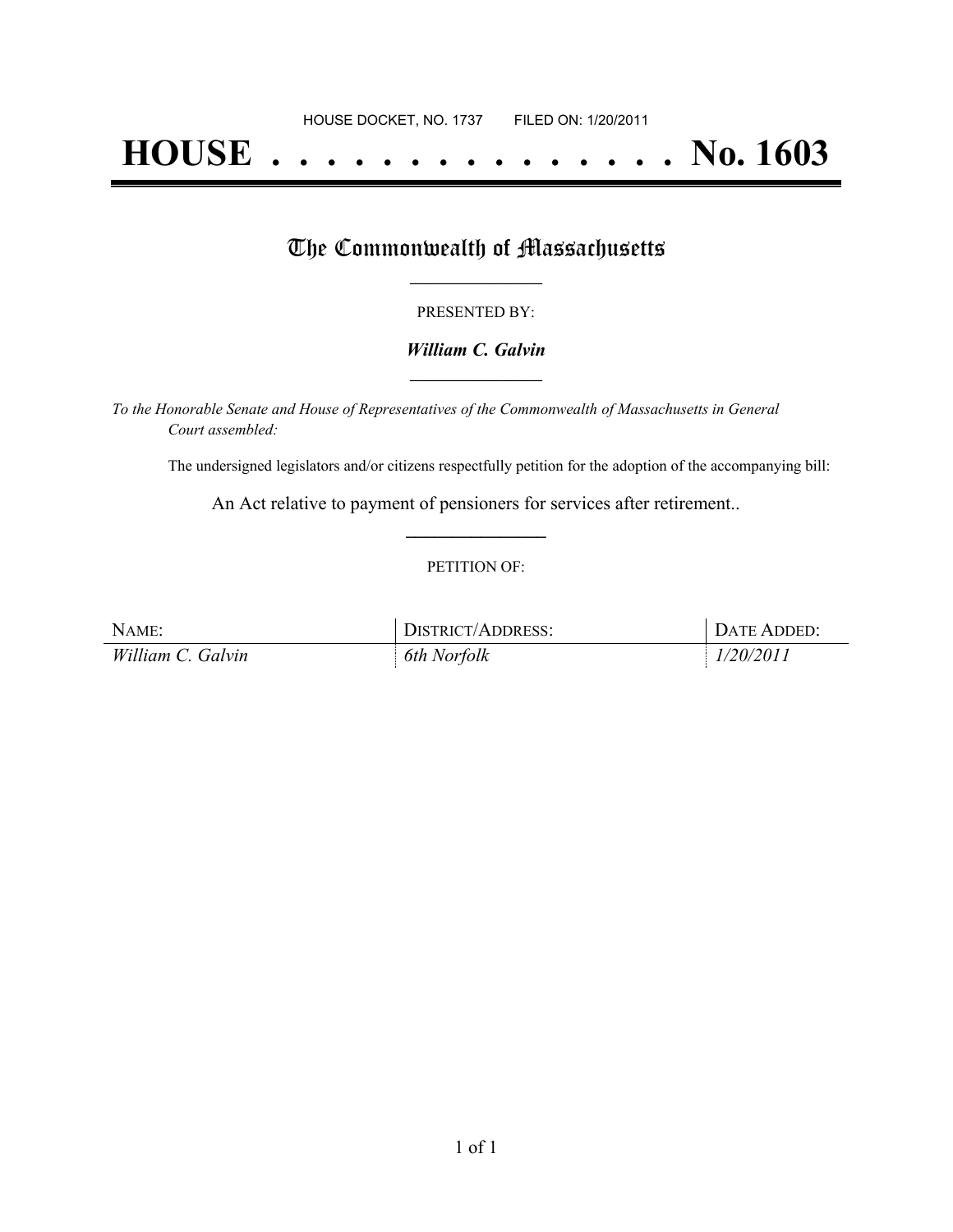# **HOUSE . . . . . . . . . . . . . . . No. 1603**

## The Commonwealth of Massachusetts

#### PRESENTED BY:

#### *William C. Galvin* **\_\_\_\_\_\_\_\_\_\_\_\_\_\_\_\_\_**

*To the Honorable Senate and House of Representatives of the Commonwealth of Massachusetts in General Court assembled:*

The undersigned legislators and/or citizens respectfully petition for the adoption of the accompanying bill:

An Act relative to payment of pensioners for services after retirement.. **\_\_\_\_\_\_\_\_\_\_\_\_\_\_\_**

#### PETITION OF:

| NAME:             | DISTRICT/ADDRESS: | DATE ADDED: |
|-------------------|-------------------|-------------|
| William C. Galvin | 6th Norfolk       | 1/20/2011   |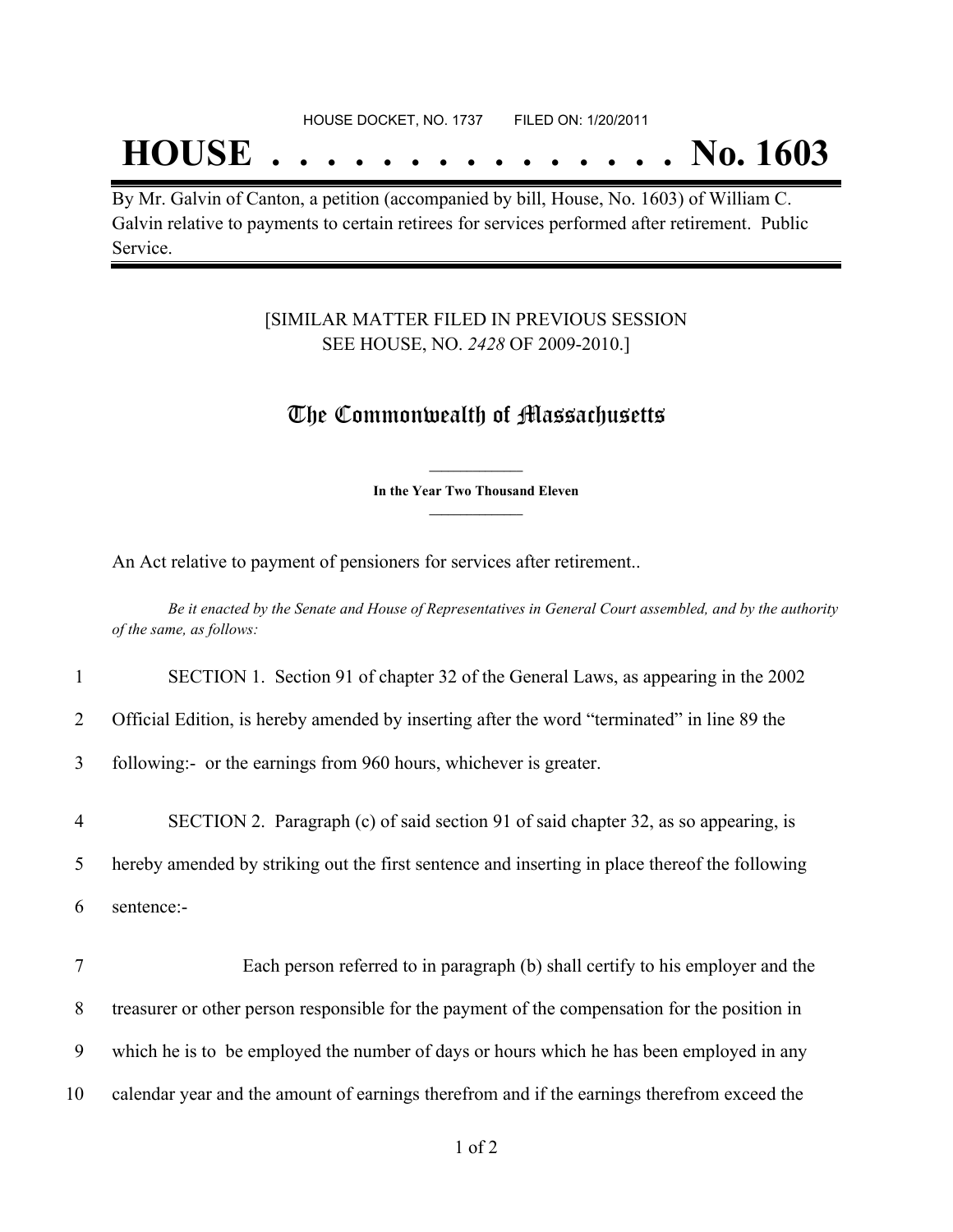## **HOUSE . . . . . . . . . . . . . . . No. 1603**

By Mr. Galvin of Canton, a petition (accompanied by bill, House, No. 1603) of William C. Galvin relative to payments to certain retirees for services performed after retirement. Public Service.

### [SIMILAR MATTER FILED IN PREVIOUS SESSION SEE HOUSE, NO. *2428* OF 2009-2010.]

## The Commonwealth of Massachusetts

**\_\_\_\_\_\_\_\_\_\_\_\_\_\_\_ In the Year Two Thousand Eleven \_\_\_\_\_\_\_\_\_\_\_\_\_\_\_**

An Act relative to payment of pensioners for services after retirement..

Be it enacted by the Senate and House of Representatives in General Court assembled, and by the authority *of the same, as follows:*

1 SECTION 1. Section 91 of chapter 32 of the General Laws, as appearing in the 2002

2 Official Edition, is hereby amended by inserting after the word "terminated" in line 89 the

3 following:- or the earnings from 960 hours, whichever is greater.

4 SECTION 2. Paragraph (c) of said section 91 of said chapter 32, as so appearing, is

5 hereby amended by striking out the first sentence and inserting in place thereof the following

6 sentence:-

 Each person referred to in paragraph (b) shall certify to his employer and the treasurer or other person responsible for the payment of the compensation for the position in which he is to be employed the number of days or hours which he has been employed in any calendar year and the amount of earnings therefrom and if the earnings therefrom exceed the